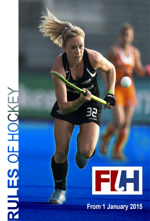# RULES OF HOCKEY



From 1 January 2015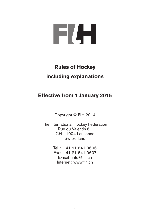

# **Rules of Hockey including explanations**

# **Effective from 1 January 2015**

Copyright © FIH 2014

The International Hockey Federation Rue du Valentin 61 CH – 1004 Lausanne **Switzerland** 

> Tel.: +41 21 641 0606 Fax: +41 21 641 0607 E-mail: info@fih.ch Internet: www.fih.ch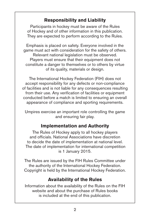# **Responsibility and Liability**

Participants in hockey must be aware of the Rules of Hockey and of other information in this publication. They are expected to perform according to the Rules.

Emphasis is placed on safety. Everyone involved in the game must act with consideration for the safety of others. Relevant national legislation must be observed. Players must ensure that their equipment does not constitute a danger to themselves or to others by virtue of its quality, materials or design.

The International Hockey Federation (FIH) does not accept responsibility for any defects or non-compliance of facilities and is not liable for any consequences resulting from their use. Any verification of facilities or equipment conducted before a match is limited to ensuring an overall appearance of compliance and sporting requirements.

Umpires exercise an important role controlling the game and ensuring fair play.

# **Implementation and Authority**

The Rules of Hockey apply to all hockey players and officials. National Associations have discretion to decide the date of implementation at national level. The date of implementation for international competition is 1 January 2015.

The Rules are issued by the FIH Rules Committee under the authority of the International Hockey Federation. Copyright is held by the International Hockey Federation.

# **Availability of the Rules**

Information about the availability of the Rules on the FIH website and about the purchase of Rules books is included at the end of this publication.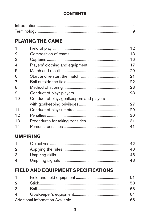# **CONTENTS**

# **PLAYING THE GAME**

| 1  |                                          | 12 |
|----|------------------------------------------|----|
| 2  |                                          |    |
| 3  |                                          | 16 |
| 4  |                                          | 17 |
| 5  |                                          | 20 |
| 6  |                                          |    |
| 7  |                                          |    |
| 8  |                                          |    |
| 9  |                                          |    |
| 10 | Conduct of play: goalkeepers and players |    |
|    |                                          | 27 |
| 11 |                                          |    |
| 12 |                                          | 30 |
| 13 |                                          |    |
| 14 |                                          |    |

# **UMPIRING**

| 2 |  |
|---|--|
| З |  |
| 4 |  |

# **FIELD AND EQUIPMENT SPECIFICATIONS**

| $1 \quad \Box$ |  |  |
|----------------|--|--|
| $\mathcal{D}$  |  |  |
| 3              |  |  |
| $4 \quad$      |  |  |
|                |  |  |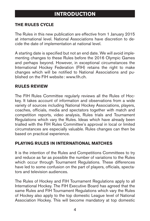# **Introduction**

### <span id="page-5-0"></span>**THE Rules CYCLE**

The Rules in this new publication are effective from 1 January 2015 at international level. National Associations have discretion to decide the date of implementation at national level.

A starting date is specified but not an end date. We will avoid implementing changes to these Rules before the 2016 Olympic Games and perhaps beyond. However, in exceptional circumstances the International Hockey Federation (FIH) retains the right to make changes which will be notified to National Associations and published on the FIH website: www.fih.ch.

### **RULES REVIEW**

The FIH Rules Committee regularly reviews all the Rules of Hockey. It takes account of information and observations from a wide variety of sources including National Hockey Associations, players, coaches, officials, media and spectators together with match and competition reports, video analysis, Rules trials and Tournament Regulations which vary the Rules. Ideas which have already been trialled with the FIH Rules Committee's approval in local or limited circumstances are especially valuable. Rules changes can then be based on practical experience.

### **PLAYING RULES IN INTERNATIONAL MATCHES**

It is the intention of the Rules and Competitions Committees to try and reduce as far as possible the number of variations to the Rules which occur through Tournament Regulations. These differences have led to some confusion on the part of players, officials, spectators and television audiences.

The Rules of Hockey and FIH Tournament Regulations apply to all International Hockey. The FIH Executive Board has agreed that the same Rules and FIH Tournament Regulations which vary the Rules of Hockey also apply to the top domestic League level of National Association Hockey. This will become mandatory at top domestic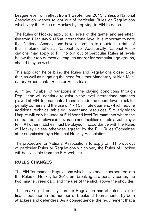League level, with effect from 1 September 2015, unless a National Association wishes to opt out of particular Rules or Regulations which vary the Rules of Hockey by applying to FIH to do so.

The Rules of Hockey apply to all levels of the game, and are effective from 1 January 2015 at International level. It is important to note that National Associations have discretion to decide the date of their implementation at National level. Additionally, National Associations may apply to FIH to opt out of particular Rules at levels below their top domestic Leagues and/or for particular age groups. should they so wish.

This approach helps bring the Rules and Regulations closer together, as well as negating the need for either Mandatory or Non-Mandatory Experimental Rules or Rules trials.

A limited number of variations in the playing conditions through Regulation will continue to exist in top level International matches played at FIH Tournaments. These include the countdown clock for penalty corners and the use of 4 x 15 minute quarters, which require additional technical table equipment and resources. Similarly Video Umpire will only be used at FIH World level Tournaments where the contracted full television coverage and facilities enable a viable system. All other matches must be played in accordance with the Rules of Hockey unless otherwise agreed by the FIH Rules Committee after submission by a National Hockey Association.

The procedure for National Associations to apply to FIH to opt out of particular Rules or Regulations which vary the Rules of Hockey will be available from the FIH website.

### **RULES CHANGES**

The FIH Tournament Regulations which have been incorporated into the Rules of Hockey for 2015 are breaking at a penalty corner, the two minute green card and the use of the stick above the shoulder.

The breaking at penalty corners Regulation has effected a significant reduction in the number of breaks at Tournaments, by both attackers and defenders. As a consequence, the requirement that a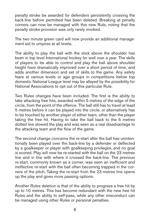penalty stroke be awarded for defenders persistently crossing the back-line before permitted has been deleted. Breaking at penalty corners can now be managed with this new Rule, noting that the penalty stroke provision was only rarely invoked.

The two minute green card will now provide an additional management aid to umpires at all levels.

The ability to play the ball with the stick above the shoulder has been in top level International hockey for well over a year. The skills of players to be able to control and play the ball above shoulder height have dramatically improved over a short period of time, and adds another dimension and set of skills to the game. Any safety fears at various levels or age groups in competitions below top domestic National League level may be allayed by the possibility for National Associations to opt out of this particular Rule.

Two Rules changes have been included. The first is the ability to take attacking free hits, awarded within 5 metres of the edge of the circle, from the point of the offence. The ball still has to travel at least 5 metres before it can be played into the circle, or alternatively has to be touched by another player of either team, other than the player taking the free hit. Having to take the ball back to the 5 metres dotted line slowed the play and was seen as a real disadvantage to the attacking team and the flow of the game.

The second change concerns the re-start after the ball has unintentionally been played over the back-line by a defender or deflected by a goalkeeper or player with goalkeeping privileges, and no goal is scored. Play will now be re-started with the ball on the 23 metres line and in line with where it crossed the back-line. The previous re-start, commonly known as a corner, was seen an inefficient and ineffective re-start with the ball often becoming trapped in the corners of the pitch. Taking the re-start from the 23 metres line opens up the play and gives more passing options.

Another Rules deletion is that of the ability to progress a free hit by up to 10 metres. This has become redundant with the new free hit Rules and the ability to self-pass, while any other misconduct can be managed using other Rules or personal penalties.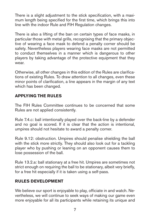There is a slight adjustment to the stick specification, with a maximum length being specified for the first time, which brings this into line with the indoor Rule and FIH Regulation changes.

There is also a lifting of the ban on certain types of face masks, in particular those with metal grills, recognising that the primary objective of wearing a face mask to defend a penalty corner should be safety. Nevertheless players wearing face masks are not permitted to conduct themselves in a manner which is dangerous to other players by taking advantage of the protective equipment that they .<br>wear

Otherwise, all other changes in this edition of the Rules are clarifications of existing Rules. To draw attention to all changes, even these minor points of clarification, a line appears in the margin of any text which has been changed.

# **APPLYING THE Rules**

The FIH Rules Committee continues to be concerned that some Rules are not applied consistently.

Rule 7.4.c: ball intentionally played over the back-line by a defender and no goal is scored. If it is clear that the action is intentional, umpires should not hesitate to award a penalty corner.

Rule 9.12: obstruction. Umpires should penalise shielding the ball with the stick more strictly. They should also look out for a tackling player who by pushing or leaning on an opponent causes them to lose possession of the ball.

Rule 13.2.a: ball stationary at a free hit. Umpires are sometimes not strict enough on requiring the ball to be stationary, albeit very briefly, for a free hit especially if it is taken using a self-pass.

### **Rules DEVELOPMENT**

We believe our sport is enjoyable to play, officiate in and watch. Nevertheless, we will continue to seek ways of making our game even more enjoyable for all its participants while retaining its unique and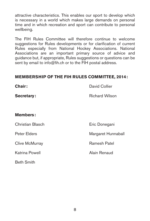attractive characteristics. This enables our sport to develop which is necessary in a world which makes large demands on personal time and in which recreation and sport can contribute to personal wellbeing.

The FIH Rules Committee will therefore continue to welcome suggestions for Rules developments or for clarification of current Rules especially from National Hockey Associations. National Associations are an important primary source of advice and guidance but, if appropriate, Rules suggestions or questions can be sent by email to info@fih.ch or to the FIH postal address.

### **MEMBERSHIP OF THE FIH RULES committee, 2014:**

| Chair:           | David Collier      |
|------------------|--------------------|
| Secretary:       | Richard Wilson     |
| <b>Members:</b>  |                    |
| Christian Blasch | Eric Donegani      |
| Peter Elders     | Margaret Hunnaball |
| Clive McMurray   | Ramesh Patel       |
| Katrina Powell   | Alain Renaud       |
|                  |                    |

Beth Smith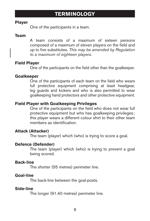# **TERMINOLOGY**

### <span id="page-10-0"></span>**Player**

One of the participants in a team.

### **Team**

A team consists of a maximum of sixteen persons composed of a maximum of eleven players on the field and up to five substitutes. *This may be amended by Regulation to a maximum of eighteen players.*

### **Field Player**

One of the participants on the field other than the goalkeeper.

### **Goalkeeper**

One of the participants of each team on the field who wears full protective equipment comprising at least headgear, leg guards and kickers and who is also permitted to wear goalkeeping hand protectors and other protective equipment.

### **Field Player with Goalkeeping Privileges**

One of the participants on the field who does not wear full protective equipment but who has goalkeeping privileges ; this player wears a different colour shirt to their other team members as identification.

### **Attack (Attacker)**

The team (player) which (who) is trying to score a goal.

### **Defence (Defender)**

The team (player) which (who) is trying to prevent a goal being scored.

### **Back-line**

The shorter (55 metres) perimeter line.

### **Goal-line**

The back-line between the goal-posts.

### **Side-line**

The longer (91.40 metres) perimeter line.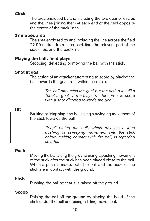### **Circle**

The area enclosed by and including the two quarter circles and the lines joining them at each end of the field opposite the centre of the back-lines.

### **23 metres area**

The area enclosed by and including the line across the field 22.90 metres from each back-line, the relevant part of the side-lines, and the back-line.

### **Playing the ball: field player**

Stopping, deflecting or moving the ball with the stick.

### **Shot at goal**

The action of an attacker attempting to score by playing the ball towards the goal from within the circle.

> *The ball may miss the goal but the action is still a " shot at goal" if the player's intention is to score with a shot directed towards the goal.*

### **Hit**

Striking or 'slapping' the ball using a swinging movement of the stick towards the ball.

> *"Slap" hitting the ball, which involves a long pushing or sweeping movement with the stick before making contact with the ball, is regarded as a hit.*

### **Push**

Moving the ball along the ground using a pushing movement of the stick after the stick has been placed close to the ball. When a push is made, both the ball and the head of the stick are in contact with the ground.

### **Flick**

Pushing the ball so that it is raised off the ground.

### **Scoop**

Raising the ball off the ground by placing the head of the stick under the ball and using a lifting movement.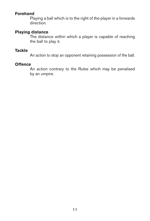# **Forehand**

Playing a ball which is to the right of the player in a forwards direction.

### **Playing distance**

The distance within which a player is capable of reaching the ball to play it.

### **Tackle**

An action to stop an opponent retaining possession of the ball.

### **Offence**

An action contrary to the Rules which may be penalised by an umpire.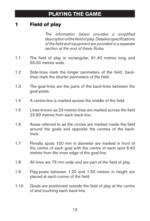# <span id="page-13-0"></span>**Field of play**

*The information below provides a simplified description of the field of play. Detailed specifications of the field and equipment are provided in a separate section at the end of these Rules.*

- 1.1 The field of play is rectangular, 91.40 metres long and 55.00 metres wide.
- 1.2 Side-lines mark the longer perimeters of the field; backlines mark the shorter perimeters of the field.
- 1.3 The goal-lines are the parts of the back-lines between the goal-posts.
- 1.4 A centre-line is marked across the middle of the field.
- 1.5 Lines known as 23 metres lines are marked across the field 22.90 metres from each back-line.
- 1.6 Areas referred to as the circles are marked inside the field around the goals and opposite the centres of the backlines.
- 1.7 Penalty spots 150 mm in diameter are marked in front of the centre of each goal with the centre of each spot 6.40 metres from the inner edge of the goal-line.
- 1.8 All lines are 75 mm wide and are part of the field of play.
- 1.9 Flag-posts between 1.20 and 1.50 metres in height are placed at each corner of the field.
- 1.10 Goals are positioned outside the field of play at the centre of and touching each back-line.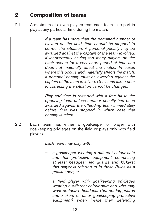# <span id="page-14-0"></span>2 Composition of teams

2.1 A maximum of eleven players from each team take part in play at any particular time during the match.

> *If a team has more than the permitted number of players on the field, time should be stopped to correct the situation. A personal penalty may be awarded against the captain of the team involved, if inadvertently having too many players on the pitch occurs for a very short period of time and does not materially affect the match. In cases where this occurs and materially affects the match, a personal penalty must be awarded against the captain of the team involved. Decisions taken prior to correcting the situation cannot be changed.*

> *Play and time is restarted with a free hit to the opposing team unless another penalty had been awarded against the offending team immediately before time was stopped in which case that penalty is taken.*

2.2 Each team has either a goalkeeper or player with goalkeeping privileges on the field or plays only with field players.

*Each team may play with:*

- *– a goalkeeper wearing a different colour shirt and full protective equipment comprising at least headgear, leg guards and kickers ; this player is referred to in these Rules as a goalkeeper; or*
- *– a field player with goalkeeping privileges wearing a different colour shirt and who may wear protective headgear (but not leg guards and kickers or other goalkeeping protective equipment) when inside their defending*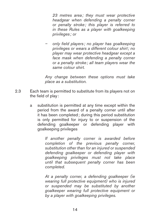*23 metres area ; they must wear protective headgear when defending a penalty corner or penalty stroke; this player is referred to in these Rules as a player with goalkeeping privileges ; or*

*– only field players ; no player has goalkeeping privileges or wears a different colour shirt; no player may wear protective headgear except a face mask when defending a penalty corner or a penalty stroke; all team players wear the same colour shirt.*

*Any change between these options must take place as a substitution.*

- 2.3 Each team is permitted to substitute from its players not on the field of play :
	- a substitution is permitted at any time except within the period from the award of a penalty corner until after it has been completed; during this period substitution is only permitted for injury to or suspension of the defending goalkeeper or defending player with goalkeeping privileges

*If another penalty corner is awarded before completion of the previous penalty corner, substitution other than for an injured or suspended defending goalkeeper or defending player with goalkeeping privileges must not take place until that subsequent penalty corner has been completed.*

*At a penalty corner, a defending goalkeeper (ie wearing full protective equipment) who is injured or suspended may be substituted by another goalkeeper wearing full protective equipment or by a player with goalkeeping privileges.*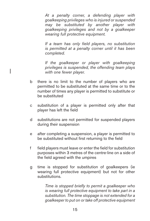*At a penalty corner, a defending player with goalkeeping privileges who is injured or suspended may be substituted by another player with goalkeeping privileges and not by a goalkeeper wearing full protective equipment.*

*If a team has only field players, no substitution is permitted at a penalty corner until it has been completed.*

*If the goalkeeper or player with goalkeeping privileges is suspended, the offending team plays with one fewer player.*

- b there is no limit to the number of players who are permitted to be substituted at the same time or to the number of times any player is permitted to substitute or be substituted
- c substitution of a player is permitted only after that player has left the field
- d substitutions are not permitted for suspended players during their suspension
- e after completing a suspension, a player is permitted to be substituted without first returning to the field
- f field players must leave or enter the field for substitution purposes within 3 metres of the centre-line on a side of the field agreed with the umpires
- g time is stopped for substitution of goalkeepers (ie wearing full protective equipment) but not for other substitutions.

*Time is stopped briefly to permit a goalkeeper who is wearing full protective equipment to take part in a substitution. The time stoppage is not extended for a goalkeeper to put on or take off protective equipment*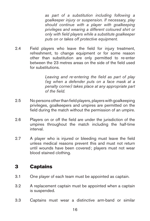<span id="page-17-0"></span>*as part of a substitution including following a goalkeeper injury or suspension. If necessary, play should continue with a player with goalkeeping privileges and wearing a different coloured shirt or only with field players while a substitute goalkeeper puts on or takes off protective equipment.*

2.4 Field players who leave the field for injury treatment, refreshment, to change equipment or for some reason other than substitution are only permitted to re-enter between the 23 metres areas on the side of the field used for substitutions.

> *Leaving and re-entering the field as part of play (eg when a defender puts on a face mask at a penalty corner) takes place at any appropriate part of the field.*

- 2.5 No persons other than field players, players with goalkeeping privileges, goalkeepers and umpires are permitted on the field during the match without the permission of an umpire.
- 2.6 Players on or off the field are under the jurisdiction of the umpires throughout the match including the half-time interval.
- 2.7 A player who is injured or bleeding must leave the field unless medical reasons prevent this and must not return until wounds have been covered; players must not wear blood stained clothing.

# 3 Captains

- 3.1 One player of each team must be appointed as captain.
- 3.2 A replacement captain must be appointed when a captain is suspended.
- 3.3 Captains must wear a distinctive arm-band or similar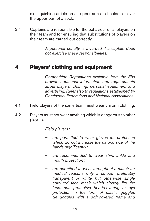distinguishing article on an upper arm or shoulder or over the upper part of a sock.

<span id="page-18-0"></span>3.4 Captains are responsible for the behaviour of all players on their team and for ensuring that substitutions of players on their team are carried out correctly.

> *A personal penalty is awarded if a captain does not exercise these responsibilities.*

# 4 Players' clothing and equipment

*Competition Regulations available from the FIH provide additional information and requirements about players' clothing, personal equipment and advertising. Refer also to regulations established by Continental Federations and National Associations.*

- 4.1 Field players of the same team must wear uniform clothing.
- 4.2 Players must not wear anything which is dangerous to other players.

*Field players :*

- *– are permitted to wear gloves for protection which do not increase the natural size of the hands significantly ;*
- *– are recommended to wear shin, ankle and mouth protection;*
- *– are permitted to wear throughout a match for medical reasons only a smooth preferably transparent or white but otherwise single coloured face mask which closely fits the face, soft protective head-covering or eye protection in the form of plastic goggles (ie goggles with a soft-covered frame and*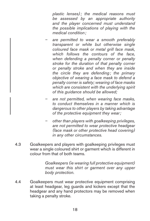*plastic lenses); the medical reasons must be assessed by an appropriate authority and the player concerned must understand the possible implications of playing with the medical condition;*

- *– are permitted to wear a smooth preferably transparent or white but otherwise single coloured face mask or metal grill face mask, which follows the contours of the face, when defending a penalty corner or penalty stroke for the duration of that penalty corner or penalty stroke and when they are inside the circle they are defending; the primary objective of wearing a face mask to defend a penalty corner is safety; wearing of face masks which are consistent with the underlying spirit of this guidance should be allowed;*
- *– are not permitted, when wearing face masks, to conduct themselves in a manner which is dangerous to other players by taking advantage of the protective equipment they wear;*
- *– other than players with goalkeeping privileges, are not permitted to wear protective headgear (face mask or other protective head covering) in any other circumstances.*
- 4.3 Goalkeepers and players with goalkeeping privileges must wear a single coloured shirt or garment which is different in colour from that of both teams.

*Goalkeepers (ie wearing full protective equipment) must wear this shirt or garment over any upper body protection.*

4.4 Goalkeepers must wear protective equipment comprising at least headgear, leg guards and kickers except that the headgear and any hand protectors may be removed when taking a penalty stroke.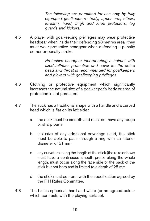*The following are permitted for use only by fully equipped goalkeepers : body, upper arm, elbow, forearm, hand, thigh and knee protectors, leg guards and kickers.*

4.5 A player with goalkeeping privileges may wear protective headgear when inside their defending 23 metres area ; they must wear protective headgear when defending a penalty corner or penalty stroke.

> *Protective headgear incorporating a helmet with fixed full-face protection and cover for the entire head and throat is recommended for goalkeepers and players with goalkeeping privileges.*

- 4.6 Clothing or protective equipment which significantly increases the natural size of a goalkeeper's body or area of protection is not permitted.
- 4.7 The stick has a traditional shape with a handle and a curved head which is flat on its left side:
	- a the stick must be smooth and must not have any rough or sharp parts
	- b inclusive of any additional coverings used, the stick must be able to pass through a ring with an interior diameter of 51 mm
	- c any curvature along the length of the stick (the rake or bow) must have a continuous smooth profile along the whole length, must occur along the face side or the back of the stick but not both and is limited to a depth of 25 mm
	- d the stick must conform with the specification agreed by the FIH Rules Committee.
- 4.8 The ball is spherical, hard and white (or an agreed colour which contrasts with the playing surface).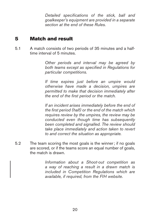*Detailed specifications of the stick, ball and goalkeeper's equipment are provided in a separate section at the end of these Rules.*

# <span id="page-21-0"></span>5 Match and result

5.1 A match consists of two periods of 35 minutes and a halftime interval of 5 minutes.

> *Other periods and interval may be agreed by both teams except as specified in Regulations for particular competitions.*

> *If time expires just before an umpire would otherwise have made a decision, umpires are permitted to make that decision immediately after the end of the first period or the match.*

> *If an incident arises immediately before the end of the first period (half) or the end of the match which requires review by the umpires, the review may be conducted even though time has subsequently been completed and signalled. The review should take place immediately and action taken to revert to and correct the situation as appropriate.*

5.2 The team scoring the most goals is the winner; if no goals are scored, or if the teams score an equal number of goals, the match is drawn.

> *Information about a Shoot-out competition as a way of reaching a result in a drawn match is included in Competition Regulations which are available, if required, from the FIH website.*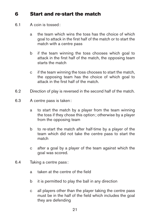# <span id="page-22-0"></span>6 Start and re-start the match

- 6.1 A coin is tossed:
	- a the team which wins the toss has the choice of which goal to attack in the first half of the match or to start the match with a centre pass
	- b if the team winning the toss chooses which goal to attack in the first half of the match, the opposing team starts the match
	- c if the team winning the toss chooses to start the match, the opposing team has the choice of which goal to attack in the first half of the match.
- 6.2 Direction of play is reversed in the second half of the match.
- 6.3 A centre pass is taken:
	- a to start the match by a player from the team winning the toss if they chose this option; otherwise by a player from the opposing team
	- b to re-start the match after half-time by a player of the team which did not take the centre pass to start the match
	- c after a goal by a player of the team against which the goal was scored.
- 6.4 Taking a centre pass :
	- a taken at the centre of the field
	- b it is permitted to play the ball in any direction
	- c all players other than the player taking the centre pass must be in the half of the field which includes the goal they are defending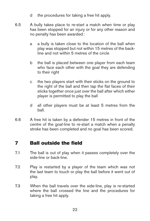- d the procedures for taking a free hit apply.
- <span id="page-23-0"></span>6.5 A bully takes place to re-start a match when time or play has been stopped for an injury or for any other reason and no penalty has been awarded:
	- a a bully is taken close to the location of the ball when play was stopped but not within 15 metres of the backline and not within 5 metres of the circle
	- b the ball is placed between one player from each team who face each other with the goal they are defending to their right
	- c the two players start with their sticks on the ground to the right of the ball and then tap the flat faces of their sticks together once just over the ball after which either player is permitted to play the ball
	- d all other players must be at least 5 metres from the ball.
- 6.6 A free hit is taken by a defender 15 metres in front of the centre of the goal-line to re-start a match when a penalty stroke has been completed and no goal has been scored.

# 7 Ball outside the field

- 7.1 The ball is out of play when it passes completely over the side-line or back-line.
- 7.2 Play is restarted by a player of the team which was not the last team to touch or play the ball before it went out of play.
- 7.3 When the ball travels over the side-line, play is re-started where the ball crossed the line and the procedures for taking a free hit apply.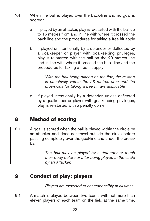- <span id="page-24-0"></span>7.4 When the ball is played over the back-line and no goal is scored:
	- a if played by an attacker, play is re-started with the ball up to 15 metres from and in line with where it crossed the back-line and the procedures for taking a free hit apply
	- b if played unintentionally by a defender or deflected by a goalkeeper or player with goalkeeping privileges, play is re-started with the ball on the 23 metres line and in line with where it crossed the back-line and the procedures for taking a free hit apply

*With the ball being placed on the line, the re-start is effectively within the 23 metres area and the provisions for taking a free hit are applicable*

c if played intentionally by a defender, unless deflected by a goalkeeper or player with goalkeeping privileges, play is re-started with a penalty corner.

# 8 Method of scoring

8.1 A goal is scored when the ball is played within the circle by an attacker and does not travel outside the circle before passing completely over the goal-line and under the crossbar.

> *The ball may be played by a defender or touch their body before or after being played in the circle by an attacker.*

# 9 Conduct of play: players

*Players are expected to act responsibly at all times.*

9.1 A match is played between two teams with not more than eleven players of each team on the field at the same time.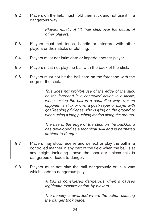9.2 Players on the field must hold their stick and not use it in a dangerous way.

> *Players must not lift their stick over the heads of other players.*

- 9.3 Players must not touch, handle or interfere with other players or their sticks or clothing.
- 9.4 Players must not intimidate or impede another player.
- 9.5 Players must not play the ball with the back of the stick.
- 9.6 Players must not hit the ball hard on the forehand with the edge of the stick.

*This does not prohibit use of the edge of the stick on the forehand in a controlled action in a tackle, when raising the ball in a controlled way over an opponent's stick or over a goalkeeper or player with goalkeeping privileges who is lying on the ground or when using a long pushing motion along the ground.*

*The use of the edge of the stick on the backhand has developed as a technical skill and is permitted subject to danger.*

- 9.7 Players may stop, receive and deflect or play the ball in a controlled manner in any part of the field when the ball is at any height including above the shoulder unless this is dangerous or leads to danger.
- 9.8 Players must not play the ball dangerously or in a way which leads to dangerous play.

*A ball is considered dangerous when it causes legitimate evasive action by players.*

*The penalty is awarded where the action causing the danger took place.*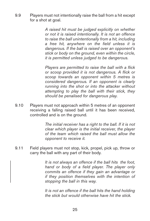9.9 Players must not intentionally raise the ball from a hit except for a shot at goal.

> *A raised hit must be judged explicitly on whether or not it is raised intentionally. It is not an offence to raise the ball unintentionally from a hit, including a free hit, anywhere on the field unless it is dangerous. If the ball is raised over an opponent's stick or body on the ground, even within the circle, it is permitted unless judged to be dangerous.*

> *Players are permitted to raise the ball with a flick or scoop provided it is not dangerous. A flick or scoop towards an opponent within 5 metres is considered dangerous. If an opponent is clearly running into the shot or into the attacker without attempting to play the ball with their stick, they should be penalised for dangerous play.*

9.10 Players must not approach within 5 metres of an opponent receiving a falling raised ball until it has been received, controlled and is on the ground.

> *The initial receiver has a right to the ball. If it is not clear which player is the initial receiver, the player of the team which raised the ball must allow the opponent to receive it.*

9.11 Field players must not stop, kick, propel, pick up, throw or carry the ball with any part of their body.

> *It is not always an offence if the ball hits the foot, hand or body of a field player. The player only commits an offence if they gain an advantage or if they position themselves with the intention of stopping the ball in this way.*

> *It is not an offence if the ball hits the hand holding the stick but would otherwise have hit the stick.*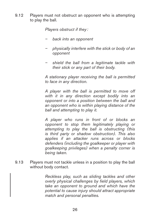9.12 Players must not obstruct an opponent who is attempting to play the ball.

*Players obstruct if they :*

- *– back into an opponent*
- *– physically interfere with the stick or body of an opponent*
- *– shield the ball from a legitimate tackle with their stick or any part of their body.*

*A stationary player receiving the ball is permitted to face in any direction.*

*A player with the ball is permitted to move off with it in any direction except bodily into an opponent or into a position between the ball and an opponent who is within playing distance of the ball and attempting to play it.*

*A player who runs in front of or blocks an opponent to stop them legitimately playing or attempting to play the ball is obstructing (this is third party or shadow obstruction). This also applies if an attacker runs across or blocks defenders (including the goalkeeper or player with goalkeeping privileges) when a penalty corner is being taken.*

9.13 Players must not tackle unless in a position to play the ball without body contact.

> *Reckless play, such as sliding tackles and other overly physical challenges by field players, which take an opponent to ground and which have the potential to cause injury should attract appropriate match and personal penalties.*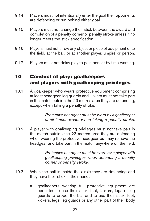- <span id="page-28-0"></span>9.14 Players must not intentionally enter the goal their opponents are defending or run behind either goal.
- 9.15 Players must not change their stick between the award and completion of a penalty corner or penalty stroke unless it no longer meets the stick specification.
- 9.16 Players must not throw any object or piece of equipment onto the field, at the ball, or at another player, umpire or person.
- 9.17 Players must not delay play to gain benefit by time-wasting.

# 10 Conduct of play: goalkeepers and players with goalkeeping privileges

10.1 A goalkeeper who wears protective equipment comprising at least headgear, leg guards and kickers must not take part in the match outside the 23 metres area they are defending, except when taking a penalty stroke.

> *Protective headgear must be worn by a goalkeeper at all times, except when taking a penalty stroke.*

10.2 A player with goalkeeping privileges must not take part in the match outside the 23 metres area they are defending when wearing the protective headgear but may remove the headgear and take part in the match anywhere on the field.

> *Protective headgear must be worn by a player with goalkeeping privileges when defending a penalty corner or penalty stroke.*

- 10.3 When the ball is inside the circle they are defending and they have their stick in their hand:
	- a goalkeepers wearing full protective equipment are permitted to use their stick, feet, kickers, legs or leg guards to propel the ball and to use their stick, feet, kickers, legs, leg guards or any other part of their body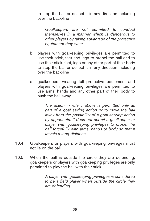to stop the ball or deflect it in any direction including over the back-line

*Goalkeepers are not permitted to conduct themselves in a manner which is dangerous to other players by taking advantage of the protective equipment they wear.*

- b players with goalkeeping privileges are permitted to use their stick, feet and legs to propel the ball and to use their stick, feet, legs or any other part of their body to stop the ball or deflect it in any direction including over the back-line
- c goalkeepers wearing full protective equipment and players with goalkeeping privileges are permitted to use arms, hands and any other part of their body to push the ball away.

*The action in rule c above is permitted only as part of a goal saving action or to move the ball away from the possibility of a goal scoring action by opponents. It does not permit a goalkeeper or player with goalkeeping privileges to propel the ball forcefully with arms, hands or body so that it travels a long distance.*

- 10.4 Goalkeepers or players with goalkeeping privileges must not lie on the ball.
- 10.5 When the ball is outside the circle they are defending, goalkeepers or players with goalkeeping privileges are only permitted to play the ball with their stick.

*A player with goalkeeping privileges is considered to be a field player when outside the circle they are defending.*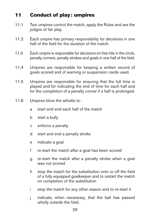# <span id="page-30-0"></span>11 Conduct of play: umpires

- 11.1 Two umpires control the match, apply the Rules and are the judges of fair play.
- 11.2 Each umpire has primary responsibility for decisions in one half of the field for the duration of the match.
- 11.3 Each umpire is responsible for decisions on free hits in the circle, penalty corners, penalty strokes and goals in one half of the field.
- 11.4 Umpires are responsible for keeping a written record of goals scored and of warning or suspension cards used.
- 11.5 Umpires are responsible for ensuring that the full time is played and for indicating the end of time for each half and for the completion of a penalty corner if a half is prolonged.
- 11.6 Umpires blow the whistle to:
	- a start and end each half of the match
	- b start a bully
	- c enforce a penalty
	- d start and end a penalty stroke
	- e indicate a goal
	- f re-start the match after a goal has been scored
	- g re-start the match after a penalty stroke when a goal was not scored
	- h stop the match for the substitution onto or off the field of a fully equipped goalkeeper and to restart the match on completion of the substitution
	- i stop the match for any other reason and to re-start it
	- j indicate, when necessary, that the ball has passed wholly outside the field.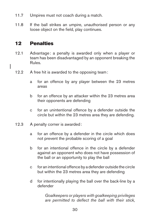- <span id="page-31-0"></span>11.7 Umpires must not coach during a match.
- 11.8 If the ball strikes an umpire, unauthorised person or any loose object on the field, play continues.

# 12 Penalties

- 12.1 Advantage: a penalty is awarded only when a player or team has been disadvantaged by an opponent breaking the Rules.
- 12.2 A free hit is awarded to the opposing team:
	- a for an offence by any player between the 23 metres areas
	- b for an offence by an attacker within the 23 metres area their opponents are defending
	- c for an unintentional offence by a defender outside the circle but within the 23 metres area they are defending.
- 12.3 A penalty corner is awarded:
	- a for an offence by a defender in the circle which does not prevent the probable scoring of a goal
	- b for an intentional offence in the circle by a defender against an opponent who does not have possession of the ball or an opportunity to play the ball
	- c for an intentional offence by a defender outside the circle but within the 23 metres area they are defending
	- d for intentionally playing the ball over the back-line by a defender

*Goalkeepers or players with goalkeeping privileges are permitted to deflect the ball with their stick,*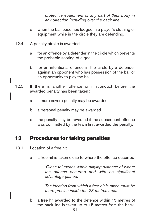*protective equipment or any part of their body in any direction including over the back-line.*

- <span id="page-32-0"></span>e when the ball becomes lodged in a player's clothing or equipment while in the circle they are defending.
- 12.4 A penalty stroke is awarded:
	- a for an offence by a defender in the circle which prevents the probable scoring of a goal
	- b for an intentional offence in the circle by a defender against an opponent who has possession of the ball or an opportunity to play the ball
- 12.5 If there is another offence or misconduct before the awarded penalty has been taken:
	- a a more severe penalty may be awarded
	- b a personal penalty may be awarded
	- c the penalty may be reversed if the subsequent offence was committed by the team first awarded the penalty.

# 13 Procedures for taking penalties

- 13.1 Location of a free hit:
	- a a free hit is taken close to where the offence occurred

*'Close to' means within playing distance of where the offence occurred and with no significant advantage gained.*

*The location from which a free hit is taken must be more precise inside the 23 metres area.*

b a free hit awarded to the defence within 15 metres of the back-line is taken up to 15 metres from the back-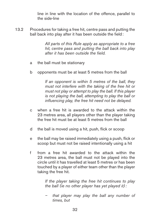line in line with the location of the offence, parallel to the side-line

13.2 Procedures for taking a free hit, centre pass and putting the ball back into play after it has been outside the field:

> *All parts of this Rule apply as appropriate to a free hit, centre pass and putting the ball back into play after it has been outside the field.*

- a the ball must be stationary
- b opponents must be at least 5 metres from the ball

*If an opponent is within 5 metres of the ball, they must not interfere with the taking of the free hit or must not play or attempt to play the ball. If this player is not playing the ball, attempting to play the ball or influencing play, the free hit need not be delayed.*

- c when a free hit is awarded to the attack within the 23 metres area, all players other than the player taking the free hit must be at least 5 metres from the ball
- d the ball is moved using a hit, push, flick or scoop
- e the ball may be raised immediately using a push, flick or scoop but must not be raised intentionally using a hit
- f from a free hit awarded to the attack within the 23 metres area, the ball must not be played into the circle until it has travelled at least 5 metres or has been touched by a player of either team other than the player taking the free hit.

*If the player taking the free hit continues to play the ball (ie no other player has yet played it):*

*– that player may play the ball any number of times, but*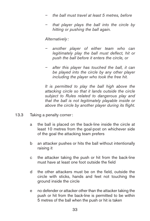- *– the ball must travel at least 5 metres, before*
- *– that player plays the ball into the circle by hitting or pushing the ball again.*

*Alternatively :*

- *– another player of either team who can legitimately play the ball must deflect, hit or push the ball before it enters the circle, or*
- *– after this player has touched the ball, it can be played into the circle by any other player including the player who took the free hit.*

*It is permitted to play the ball high above the attacking circle so that it lands outside the circle subject to Rules related to dangerous play and that the ball is not legitimately playable inside or above the circle by another player during its flight.*

- 13.3 Taking a penalty corner:
	- a the ball is placed on the back-line inside the circle at least 10 metres from the goal-post on whichever side of the goal the attacking team prefers
	- b an attacker pushes or hits the ball without intentionally raising it
	- c the attacker taking the push or hit from the back-line must have at least one foot outside the field
	- d the other attackers must be on the field, outside the circle with sticks, hands and feet not touching the ground inside the circle
	- e no defender or attacker other than the attacker taking the push or hit from the back-line is permitted to be within 5 metres of the ball when the push or hit is taken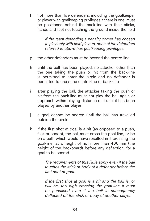f not more than five defenders, including the goalkeeper or player with goalkeeping privileges if there is one, must be positioned behind the back-line with their sticks, hands and feet not touching the ground inside the field

> *If the team defending a penalty corner has chosen to play only with field players, none of the defenders referred to above has goalkeeping privileges.*

- g the other defenders must be beyond the centre-line
- h until the ball has been played, no attacker other than the one taking the push or hit from the back-line is permitted to enter the circle and no defender is permitted to cross the centre-line or back-line
- i after playing the ball, the attacker taking the push or hit from the back-line must not play the ball again or approach within playing distance of it until it has been played by another player
- j a goal cannot be scored until the ball has travelled outside the circle
- k if the first shot at goal is a hit (as opposed to a push, flick or scoop), the ball must cross the goal-line, or be on a path which would have resulted in it crossing the goal-line, at a height of not more than 460 mm (the height of the backboard) before any deflection, for a goal to be scored

*The requirements of this Rule apply even if the ball touches the stick or body of a defender before the first shot at goal.*

*If the first shot at goal is a hit and the ball is, or will be, too high crossing the goal-line it must be penalised even if the ball is subsequently deflected off the stick or body of another player.*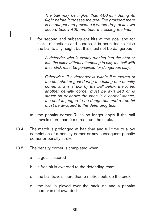*The ball may be higher than 460 mm during its flight before it crosses the goal-line provided there is no danger and provided it would drop of its own accord below 460 mm before crossing the line.*

l for second and subsequent hits at the goal and for flicks, deflections and scoops, it is permitted to raise the ball to any height but this must not be dangerous

> *A defender who is clearly running into the shot or into the taker without attempting to play the ball with their stick must be penalised for dangerous play.*

> *Otherwise, if a defender is within five metres of the first shot at goal during the taking of a penalty corner and is struck by the ball below the knee, another penalty corner must be awarded or is struck on or above the knee in a normal stance, the shot is judged to be dangerous and a free hit must be awarded to the defending team.*

- m the penalty corner Rules no longer apply if the ball travels more than 5 metres from the circle.
- 13.4 The match is prolonged at half-time and full-time to allow completion of a penalty corner or any subsequent penalty corner or penalty stroke.
- 13.5 The penalty corner is completed when:
	- a a goal is scored
	- b a free hit is awarded to the defending team
	- c the ball travels more than 5 metres outside the circle
	- d the ball is played over the back-line and a penalty corner is not awarded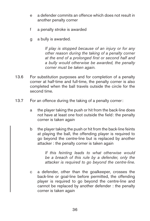- e a defender commits an offence which does not result in another penalty corner
- f a penalty stroke is awarded
- g a bully is awarded.

*If play is stopped because of an injury or for any other reason during the taking of a penalty corner at the end of a prolonged first or second half and a bully would otherwise be awarded, the penalty corner must be taken again.*

- 13.6 For substitution purposes and for completion of a penalty corner at half-time and full-time, the penalty corner is also completed when the ball travels outside the circle for the second time.
- 13.7 For an offence during the taking of a penalty corner:
	- a the player taking the push or hit from the back-line does not have at least one foot outside the field: the penalty corner is taken again
	- b the player taking the push or hit from the back-line feints at playing the ball, the offending player is required to go beyond the centre-line but is replaced by another attacker : the penalty corner is taken again

*If this feinting leads to what otherwise would be a breach of this rule by a defender, only the attacker is required to go beyond the centre-line.*

c a defender, other than the goalkeeper, crosses the back-line or goal-line before permitted, the offending player is required to go beyond the centre-line and cannot be replaced by another defender : the penalty corner is taken again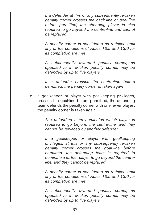*If a defender at this or any subsequently re-taken penalty corner crosses the back-line or goal-line before permitted, the offending player is also required to go beyond the centre-line and cannot be replaced* 

*A penalty corner is considered as re-taken until any of the conditions of Rules 13.5 and 13.6 for its completion are met*

*A subsequently awarded penalty corner, as opposed to a re-taken penalty corner, may be defended by up to five players*

*If a defender crosses the centre-line before permitted, the penalty corner is taken again*

d a goalkeeper, or player with goalkeeping privileges, crosses the goal-line before permitted, the defending team defends the penalty corner with one fewer player: the penalty corner is taken again

> *The defending team nominates which player is required to go beyond the centre-line, and they cannot be replaced by another defender*

> *If a goalkeeper, or player with goalkeeping privileges, at this or any subsequently re-taken penalty corner crosses the goal-line before permitted, the defending team is required to nominate a further player to go beyond the centreline, and they cannot be replaced*

> *A penalty corner is considered as re-taken until any of the conditions of Rules 13.5 and 13.6 for its completion are met*

> *A subsequently awarded penalty corner, as opposed to a re-taken penalty corner, may be defended by up to five players*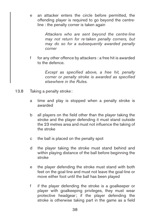e an attacker enters the circle before permitted, the offending player is required to go beyond the centreline : the penalty corner is taken again

> *Attackers who are sent beyond the centre-line may not return for re-taken penalty corners, but may do so for a subsequently awarded penalty corner*

f for any other offence by attackers : a free hit is awarded to the defence.

> *Except as specified above, a free hit, penalty corner or penalty stroke is awarded as specified elsewhere in the Rules.*

- 13.8 Taking a penalty stroke:
	- a time and play is stopped when a penalty stroke is awarded
	- b all players on the field other than the player taking the stroke and the player defending it must stand outside the 23 metres area and must not influence the taking of the stroke
	- c the ball is placed on the penalty spot
	- d the player taking the stroke must stand behind and within playing distance of the ball before beginning the stroke
	- e the player defending the stroke must stand with both feet on the goal-line and must not leave the goal-line or move either foot until the ball has been played
	- f if the player defending the stroke is a goalkeeper or player with goalkeeping privileges, they must wear protective headgear; if the player defending the stroke is otherwise taking part in the game as a field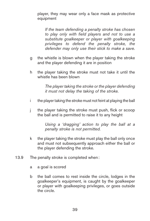player, they may wear only a face mask as protective equipment

*If the team defending a penalty stroke has chosen to play only with field players and not to use a substitute goalkeeper or player with goalkeeping privileges to defend the penalty stroke, the defender may only use their stick to make a save.*

- g the whistle is blown when the player taking the stroke and the player defending it are in position
- h the player taking the stroke must not take it until the whistle has been blown

*The player taking the stroke or the player defending it must not delay the taking of the stroke.*

- i the player taking the stroke must not feint at playing the ball
- j the player taking the stroke must push, flick or scoop the ball and is permitted to raise it to any height

*Using a 'dragging' action to play the ball at a penalty stroke is not permitted.*

- k the player taking the stroke must play the ball only once and must not subsequently approach either the ball or the player defending the stroke.
- 13.9 The penalty stroke is completed when:
	- a a goal is scored
	- b the ball comes to rest inside the circle, lodges in the goalkeeper's equipment, is caught by the goalkeeper or player with goalkeeping privileges, or goes outside the circle.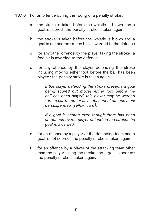- 13.10 For an offence during the taking of a penalty stroke:
	- a the stroke is taken before the whistle is blown and a goal is scored: the penalty stroke is taken again
	- b the stroke is taken before the whistle is blown and a goal is not scored: a free hit is awarded to the defence
	- c for any other offence by the player taking the stroke: a free hit is awarded to the defence
	- d for any offence by the player defending the stroke including moving either foot before the ball has been played: the penalty stroke is taken again

*If the player defending the stroke prevents a goal being scored but moves either foot before the ball has been played, this player may be warned (green card) and for any subsequent offence must be suspended (yellow card).*

*If a goal is scored even though there has been an offence by the player defending the stroke, the goal is awarded.*

- e for an offence by a player of the defending team and a goal is not scored: the penalty stroke is taken again
- f for an offence by a player of the attacking team other than the player taking the stroke and a goal is scored: the penalty stroke is taken again.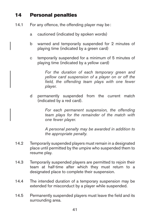# 14 Personal penalties

- 14.1 For any offence, the offending player may be:
	- a cautioned (indicated by spoken words)
	- b warned and temporarily suspended for 2 minutes of playing time (indicated by a green card)
	- c temporarily suspended for a minimum of 5 minutes of playing time (indicated by a yellow card)

*For the duration of each temporary green and yellow card suspension of a player on or off the field, the offending team plays with one fewer player.* 

d permanently suspended from the current match (indicated by a red card).

> *For each permanent suspension, the offending team plays for the remainder of the match with one fewer player.*

> *A personal penalty may be awarded in addition to the appropriate penalty.*

- 14.2 Temporarily suspended players must remain in a designated place until permitted by the umpire who suspended them to resume play.
- 14.3 Temporarily suspended players are permitted to rejoin their team at half-time after which they must return to a designated place to complete their suspension.
- 14.4 The intended duration of a temporary suspension may be extended for misconduct by a player while suspended.
- 14.5 Permanently suspended players must leave the field and its surrounding area.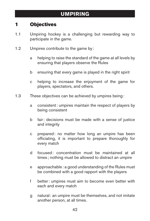# 1 Objectives

- 1.1 Umpiring hockey is a challenging but rewarding way to participate in the game.
- 1.2 Umpires contribute to the game by:
	- a helping to raise the standard of the game at all levels by ensuring that players observe the Rules
	- b ensuring that every game is played in the right spirit
	- c helping to increase the enjoyment of the game for players, spectators, and others.
- 1.3 These objectives can be achieved by umpires being:
	- a consistent: umpires maintain the respect of players by being consistent
	- b fair: decisions must be made with a sense of justice and integrity
	- c prepared: no matter how long an umpire has been officiating, it is important to prepare thoroughly for every match
	- d focused: concentration must be maintained at all times ; nothing must be allowed to distract an umpire
	- e approachable: a good understanding of the Rules must be combined with a good rapport with the players
	- f better: umpires must aim to become even better with each and every match
	- g natural: an umpire must be themselves, and not imitate another person, at all times.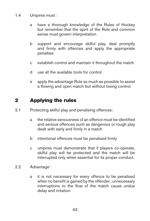- 1.4 Umpires must:
	- a have a thorough knowledge of the Rules of Hockey but remember that the spirit of the Rule and common sense must govern interpretation
	- b support and encourage skilful play, deal promptly and firmly with offences and apply the appropriate penalties
	- c establish control and maintain it throughout the match
	- d use all the available tools for control
	- e apply the advantage Rule as much as possible to assist a flowing and open match but without losing control.

# 2 Applying the rules

- 2.1 Protecting skilful play and penalising offences :
	- a the relative seriousness of an offence must be identified and serious offences such as dangerous or rough play dealt with early and firmly in a match
	- b intentional offences must be penalised firmly
	- c umpires must demonstrate that if players co-operate, skilful play will be protected and the match will be interrupted only when essential for its proper conduct.
- 2.2 Advantage:
	- a it is not necessary for every offence to be penalised when no benefit is gained by the offender; unnecessary interruptions to the flow of the match cause undue delay and irritation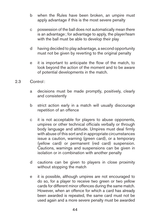- b when the Rules have been broken, an umpire must apply advantage if this is the most severe penalty
- c possession of the ball does not automatically mean there is an advantage; for advantage to apply, the player/team with the ball must be able to develop their play
- d having decided to play advantage, a second opportunity must not be given by reverting to the original penalty
- e it is important to anticipate the flow of the match, to look beyond the action of the moment and to be aware of potential developments in the match.
- 2.3 Control:
	- a decisions must be made promptly, positively, clearly and consistently
	- b strict action early in a match will usually discourage repetition of an offence
	- c it is not acceptable for players to abuse opponents, umpires or other technical officials verbally or through body language and attitude. Umpires must deal firmly with abuse of this sort and in appropriate circumstances issue a caution, warning (green card), or a temporary (yellow card) or permanent (red card) suspension. Cautions, warnings and suspensions can be given in isolation or in combination with another penalty
	- d cautions can be given to players in close proximity without stopping the match
	- e it is possible, although umpires are not encouraged to do so, for a player to receive two green or two yellow cards for different minor offences during the same match. However, when an offence for which a card has already been awarded is repeated, the same card must not be used again and a more severe penalty must be awarded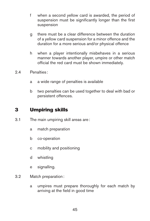- f when a second yellow card is awarded, the period of suspension must be significantly longer than the first suspension
- g there must be a clear difference between the duration of a yellow card suspension for a minor offence and the duration for a more serious and/or physical offence
- h when a player intentionally misbehaves in a serious manner towards another player, umpire or other match official the red card must be shown immediately.
- 2.4 Penalties :
	- a a wide range of penalties is available
	- b two penalties can be used together to deal with bad or persistent offences.

# 3 Umpiring skills

- 3.1 The main umpiring skill areas are:
	- a match preparation
	- b co-operation
	- c mobility and positioning
	- d whistling
	- e signalling.
- 3.2 Match preparation:
	- a umpires must prepare thoroughly for each match by arriving at the field in good time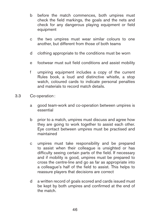- b before the match commences, both umpires must check the field markings, the goals and the nets and check for any dangerous playing equipment or field equipment
- c the two umpires must wear similar colours to one another, but different from those of both teams
- d clothing appropriate to the conditions must be worn
- e footwear must suit field conditions and assist mobility
- f umpiring equipment includes a copy of the current Rules book, a loud and distinctive whistle, a stop watch, coloured cards to indicate personal penalties and materials to record match details.
- 3.3 Co-operation:
	- a good team-work and co-operation between umpires is essential
	- b prior to a match, umpires must discuss and agree how they are going to work together to assist each other. Eye contact between umpires must be practised and maintained
	- c umpires must take responsibility and be prepared to assist when their colleague is unsighted or has difficulty seeing certain parts of the field. If necessary and if mobility is good, umpires must be prepared to cross the centre-line and go as far as appropriate into a colleague's half of the field to assist. This helps to reassure players that decisions are correct
	- d a written record of goals scored and cards issued must be kept by both umpires and confirmed at the end of the match.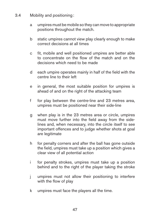- 3.4 Mobility and positioning:
	- a umpires must be mobile so they can move to appropriate positions throughout the match.
	- b static umpires cannot view play clearly enough to make correct decisions at all times
	- c fit, mobile and well positioned umpires are better able to concentrate on the flow of the match and on the decisions which need to be made
	- d each umpire operates mainly in half of the field with the centre line to their left
	- e in general, the most suitable position for umpires is ahead of and on the right of the attacking team
	- f for play between the centre-line and 23 metres area, umpires must be positioned near their side-line
	- g when play is in the 23 metres area or circle, umpires must move further into the field away from the sidelines and, when necessary, into the circle itself to see important offences and to judge whether shots at goal are legitimate
	- h for penalty corners and after the ball has gone outside the field, umpires must take up a position which gives a clear view of all potential action
	- i for penalty strokes, umpires must take up a position behind and to the right of the player taking the stroke
	- j umpires must not allow their positioning to interfere with the flow of play
	- k umpires must face the players all the time.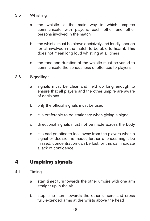#### 3.5 Whistling:

- a the whistle is the main way in which umpires communicate with players, each other and other persons involved in the match
- b the whistle must be blown decisively and loudly enough for all involved in the match to be able to hear it. This does not mean long loud whistling at all times
- c the tone and duration of the whistle must be varied to communicate the seriousness of offences to players.
- 3.6 Signalling:
	- a signals must be clear and held up long enough to ensure that all players and the other umpire are aware of decisions
	- b only the official signals must be used
	- c it is preferable to be stationary when giving a signal
	- d directional signals must not be made across the body
	- e it is bad practice to look away from the players when a signal or decision is made; further offences might be missed, concentration can be lost, or this can indicate a lack of confidence.

# 4 Umpiring signals

- 4.1 Timing:
	- a start time: turn towards the other umpire with one arm straight up in the air
	- b stop time: turn towards the other umpire and cross fully-extended arms at the wrists above the head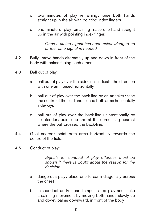- c two minutes of play remaining: raise both hands straight up in the air with pointing index fingers
- d one minute of play remaining: raise one hand straight up in the air with pointing index finger.

*Once a timing signal has been acknowledged no further time signal is needed.*

- 4.2 Bully : move hands alternately up and down in front of the body with palms facing each other.
- 4.3 Ball out of play :
	- a ball out of play over the side-line: indicate the direction with one arm raised horizontally
	- b ball out of play over the back-line by an attacker: face the centre of the field and extend both arms horizontally sideways
	- c ball out of play over the back-line unintentionally by a defender: point one arm at the corner flag nearest where the ball crossed the back-line.
- 4.4 Goal scored: point both arms horizontally towards the centre of the field.
- 4.5 Conduct of play :

*Signals for conduct of play offences must be shown if there is doubt about the reason for the decision.*

- a dangerous play: place one forearm diagonally across the chest
- b misconduct and/or bad temper: stop play and make a calming movement by moving both hands slowly up and down, palms downward, in front of the body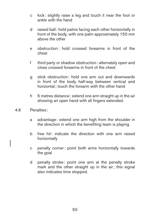- c kick : slightly raise a leg and touch it near the foot or ankle with the hand
- d raised ball: hold palms facing each other horizontally in front of the body, with one palm approximately 150 mm above the other
- e obstruction: hold crossed forearms in front of the chest
- f third party or shadow obstruction: alternately open and close crossed forearms in front of the chest
- g stick obstruction: hold one arm out and downwards in front of the body half-way between vertical and horizontal; touch the forearm with the other hand
- h 5 metres distance: extend one arm straight up in the air showing an open hand with all fingers extended.
- 4.6 Penalties :
	- a advantage: extend one arm high from the shoulder in the direction in which the benefiting team is playing
	- b free hit: indicate the direction with one arm raised horizontally
	- c penalty corner: point both arms horizontally towards the goal
	- d penalty stroke: point one arm at the penalty stroke mark and the other straight up in the air; this signal also indicates time stopped.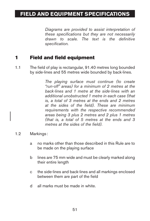# **FIELD AND EQUIPMENT SPECIFICATIONS**

*Diagrams are provided to assist interpretation of these specifications but they are not necessarily drawn to scale. The text is the definitive specification.*

## 1 Field and field equipment

1.1 The field of play is rectangular, 91.40 metres long bounded by side-lines and 55 metres wide bounded by back-lines.

> *The playing surface must continue (to create "run-off" areas) for a minimum of 2 metres at the back-lines and 1 metre at the side-lines with an additional unobstructed 1 metre in each case (that is, a total of 3 metres at the ends and 2 metres at the sides of the field). These are minimum requirements with the respective recommended areas being 3 plus 2 metres and 2 plus 1 metres (that is, a total of 5 metres at the ends and 3 metres at the sides of the field).*

- 1.2 Markings :
	- a no marks other than those described in this Rule are to be made on the playing surface
	- b lines are 75 mm wide and must be clearly marked along their entire length
	- c the side-lines and back-lines and all markings enclosed between them are part of the field
	- d all marks must be made in white.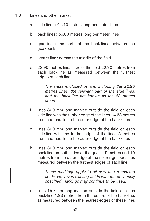- 1.3 Lines and other marks :
	- a side-lines : 91.40 metres long perimeter lines
	- b back-lines : 55.00 metres long perimeter lines
	- c goal-lines : the parts of the back-lines between the goal-posts
	- d centre-line: across the middle of the field
	- e 22.90 metres lines across the field 22.90 metres from each back-line as measured between the furthest edges of each line

*The areas enclosed by and including the 22.90 metres lines, the relevant part of the side-lines, and the back-line are known as the 23 metres areas.*

- f lines 300 mm long marked outside the field on each side-line with the further edge of the lines 14.63 metres from and parallel to the outer edge of the back-lines
- g lines 300 mm long marked outside the field on each side-line with the further edge of the lines 5 metres from and parallel to the outer edge of the back-lines
- h lines 300 mm long marked outside the field on each back-line on both sides of the goal at 5 metres and 10 metres from the outer edge of the nearer goal-post, as measured between the furthest edges of each line

*These markings apply to all new and re-marked fields. However, existing fields with the previously specified markings may continue to be used.*

i lines 150 mm long marked outside the field on each back-line 1.83 metres from the centre of the back-line, as measured between the nearest edges of these lines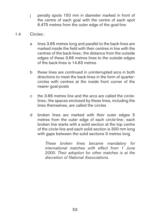- j penalty spots 150 mm in diameter marked in front of the centre of each goal with the centre of each spot 6.475 metres from the outer edge of the goal-line.
- 1.4 Circles :
	- a lines 3.66 metres long and parallel to the back-lines are marked inside the field with their centres in line with the centres of the back-lines ; the distance from the outside edges of these 3.66 metres lines to the outside edges of the back-lines is 14.63 metres
	- b these lines are continued in uninterrupted arcs in both directions to meet the back-lines in the form of quartercircles with centres at the inside front corner of the nearer goal-posts
	- c the 3.66 metres line and the arcs are called the circlelines ; the spaces enclosed by these lines, including the lines themselves, are called the circles
	- d broken lines are marked with their outer edges 5 metres from the outer edge of each circle-line; each broken line starts with a solid section at the top centre of the circle-line and each solid section is 300 mm long with gaps between the solid sections 3 metres long

*These broken lines became mandatory for international matches with effect from 1 June 2000. Their adoption for other matches is at the discretion of National Associations.*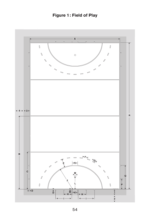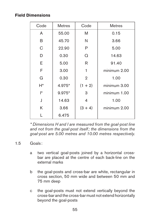### **Field Dimensions**

| Code | <b>Metres</b> | Code           | <b>Metres</b> |
|------|---------------|----------------|---------------|
| A    | 55.00         | M              | 0.15          |
| B    | 45.70         | N              | 3.66          |
| С    | 22.90         | P              | 5.00          |
| D    | 0.30          | Ω              | 14.63         |
| E    | 5.00          | R              | 91.40         |
| F    | 3.00          | 1              | minimum 2.00  |
| G    | 0.30          | $\overline{2}$ | 1.00          |
| H*   | 4.975*        | $(1 + 2)$      | minimum 3.00  |
| I*   | 9.975*        | 3              | minimum 1.00  |
| J    | 14.63         | 4              | 1.00          |
| Κ    | 3.66          | $(3 + 4)$      | minimum 2.00  |
|      | 6.475         |                |               |

*\* Dimensions H and I are measured from the goal-post line and not from the goal-post itself; the dimensions from the goal-post are 5.00 metres and 10.00 metres respectively.*

#### 1.5 Goals :

- a two vertical goal-posts joined by a horizontal crossbar are placed at the centre of each back-line on the external marks
- b the goal-posts and cross-bar are white, rectangular in cross section, 50 mm wide and between 50 mm and 75 mm deep
- c the goal-posts must not extend vertically beyond the cross-bar and the cross-bar must not extend horizontally beyond the goal-posts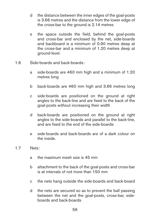- d the distance between the inner edges of the goal-posts is 3.66 metres and the distance from the lower edge of the cross-bar to the ground is 2.14 metres
- e the space outside the field, behind the goal-posts and cross-bar and enclosed by the net, side-boards and backboard is a minimum of 0.90 metres deep at the cross-bar and a minimum of 1.20 metres deep at ground-level.
- 1.6 Side-boards and back-boards :
	- a side-boards are 460 mm high and a minimum of 1.20 metres long
	- b back-boards are 460 mm high and 3.66 metres long
	- c side-boards are positioned on the ground at right angles to the back-line and are fixed to the back of the goal-posts without increasing their width
	- d back-boards are positioned on the ground at right angles to the side-boards and parallel to the back-line, and are fixed to the end of the side-boards
	- e side-boards and back-boards are of a dark colour on the inside.
- 1.7 Nets :
	- a the maximum mesh size is 45 mm
	- b attachment to the back of the goal-posts and cross-bar is at intervals of not more than 150 mm
	- c the nets hang outside the side-boards and back-board
	- d the nets are secured so as to prevent the ball passing between the net and the goal-posts, cross-bar, sideboards and back-boards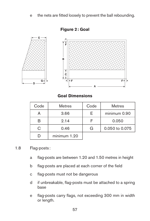e the nets are fitted loosely to prevent the ball rebounding.



**Figure 2: Goal**

### **Goal Dimensions**

| Code | <b>Metres</b> | Code | <b>Metres</b>  |
|------|---------------|------|----------------|
|      | 3.66          | F    | minimum 0.90   |
|      | 9.14          |      | 0.050          |
| C    | 0.46          | G    | 0.050 to 0.075 |
|      | minimum 1.20  |      |                |

#### 1.8 Flag-posts :

- a flag-posts are between 1.20 and 1.50 metres in height
- b flag-posts are placed at each corner of the field
- c flag-posts must not be dangerous
- d if unbreakable, flag-posts must be attached to a spring base
- e flag-posts carry flags, not exceeding 300 mm in width or length.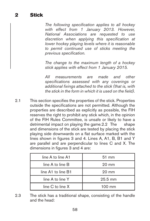*The following specification applies to all hockey with effect from 1 January 2013. However, National Associations are requested to use discretion when applying this specification at lower hockey playing levels where it is reasonable to permit continued use of sticks meeting the previous specification.*

*The change to the maximum length of a hockey stick applies with effect from 1 January 2015.*

*All measurements are made and other specifications assessed with any coverings or additional fixings attached to the stick (that is, with the stick in the form in which it is used on the field).*

2.1 This section specifies the properties of the stick. Properties outside the specifications are not permitted. Although the properties are described as explicitly as possible, the FIH reserves the right to prohibit any stick which, in the opinion of the FIH Rules Committee, is unsafe or likely to have a detrimental impact on playing the game.2.2 The shape and dimensions of the stick are tested by placing the stick playing side downwards on a flat surface marked with the lines shown in figures 3 and 4. Lines A, A1, B, B1 and Y are parallel and are perpendicular to lines C and X. The dimensions in figures 3 and 4 are:

| line A to line A1    | $51 \text{ mm}$  |  |
|----------------------|------------------|--|
| line A to line B     | $20 \text{ mm}$  |  |
| line A1 to line B1   | $20 \text{ mm}$  |  |
| line A to line Y     | 25.5 mm          |  |
| line $C$ to line $X$ | $100 \text{ mm}$ |  |

2.3 The stick has a traditional shape, consisting of the handle and the head: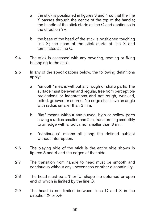- a the stick is positioned in figures 3 and 4 so that the line Y passes through the centre of the top of the handle; the handle of the stick starts at line C and continues in the direction Y+.
- b the base of the head of the stick is positioned touching line X; the head of the stick starts at line X and terminates at line C.
- 2.4 The stick is assessed with any covering, coating or fixing belonging to the stick.
- 2.5 In any of the specifications below, the following definitions apply:
	- a "smooth" means without any rough or sharp parts. The surface must be even and regular, free from perceptible projections or indentations and not rough, wrinkled, pitted, grooved or scored. No edge shall have an angle with radius smaller than 3 mm.
	- b "flat" means without any curved, high or hollow parts having a radius smaller than 2 m, transforming smoothly to an edge with a radius not smaller than 3 mm.
	- c "continuous" means all along the defined subject without interruption.
- 2.6 The playing side of the stick is the entire side shown in figures 3 and 4 and the edges of that side.
- 2.7 The transition from handle to head must be smooth and continuous without any unevenness or other discontinuity.
- 2.8 The head must be a 'J' or 'U' shape the upturned or open end of which is limited by the line C.
- 2.9 The head is not limited between lines C and X in the direction X- or X+.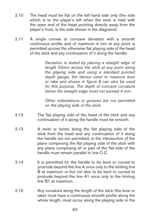- 2.10 The head must be flat on the left hand side only (the side which is to the player's left when the stick is held with the open end of the head pointing directly away from the player's front, ie the side shown in the diagrams).
- 2.11 A single convex or concave deviation with a smooth continuous profile and of maximum 4 mm at any point is permitted across the otherwise flat playing side of the head of the stick and any continuation of it along the handle.

*Deviation is tested by placing a straight edge of length 53mm across the stick at any point along the playing side and using a standard pointed depth gauge; the device used to measure bow or rake and shown in figure 6 can also be used for this purpose. The depth of concave curvature below the straight edge must not exceed 4 mm.*

*Other indentations or grooves are not permitted on the playing side of the stick.*

- 2.12 The flat playing side of the head of the stick and any continuation of it along the handle must be smooth.
- 2.13 A twist or twists along the flat playing side of the stick from the head and any continuation of it along the handle are not permitted; ie the intersection of the plane comprising the flat playing side of the stick with any plane comprising all or part of the flat side of the handle must remain parallel to line C-C.
- 2.14 It is permitted for the handle to be bent or curved to protrude beyond the line A once only to the limiting line B at maximum or but not also to be bent or curved to protrude beyond the line A1 once only to the limiting line B1 at maximum.
- 2.15 Any curvature along the length of the stick (the bow or rake) must have a continuous smooth profile along the whole length, must occur along the playing side or the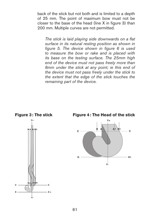back of the stick but not both and is limited to a depth of 25 mm. The point of maximum bow must not be closer to the base of the head (line X in figure 3) than 200 mm. Multiple curves are not permitted.

*The stick is laid playing side downwards on a flat surface in its natural resting position as shown in figure 5. The device shown in figure 6 is used to measure the bow or rake and is placed with its base on the testing surface. The 25mm high end of the device must not pass freely more than 8mm under the stick at any point; ie this end of the device must not pass freely under the stick to the extent that the edge of the stick touches the remaining part of the device.*

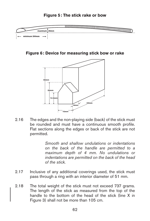

**Figure 6: Device for measuring stick bow or rake**



2.16 The edges and the non-playing side (back) of the stick must be rounded and must have a continuous smooth profile. Flat sections along the edges or back of the stick are not permitted.

> *Smooth and shallow undulations or indentations on the back of the handle are permitted to a maximum depth of 4 mm. No undulations or indentations are permitted on the back of the head of the stick.*

- 2.17 Inclusive of any additional coverings used, the stick must pass through a ring with an interior diameter of 51 mm.
- 2.18 The total weight of the stick must not exceed 737 grams. The length of the stick as measured from the top of the handle to the bottom of the head of the stick (line X in Figure 3) shall not be more than 105 cm.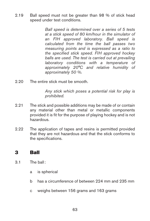2.19 Ball speed must not be greater than 98 % of stick head speed under test conditions.

> *Ball speed is determined over a series of 5 tests at a stick speed of 80 km/hour in the simulator of an FIH approved laboratory. Ball speed is calculated from the time the ball passes two measuring points and is expressed as a ratio to the specified stick speed. FIH approved hockey balls are used. The test is carried out at prevailing laboratory conditions with a temperature of approximately 20°C and relative humidity of approximately 50 %.*

2.20 The entire stick must be smooth

*Any stick which poses a potential risk for play is prohibited.*

- 2.21 The stick and possible additions may be made of or contain any material other than metal or metallic components provided it is fit for the purpose of playing hockey and is not hazardous.
- 2.22 The application of tapes and resins is permitted provided that they are not hazardous and that the stick conforms to the specifications.

# 3 Ball

- 3.1 The ball:
	- a is spherical
	- b has a circumference of between 224 mm and 235 mm
	- c weighs between 156 grams and 163 grams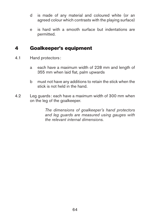- d is made of any material and coloured white (or an agreed colour which contrasts with the playing surface)
- e is hard with a smooth surface but indentations are permitted.

## 4 Goalkeeper's equipment

- 4.1 Hand protectors :
	- a each have a maximum width of 228 mm and length of 355 mm when laid flat, palm upwards
	- b must not have any additions to retain the stick when the stick is not held in the hand.
- 4.2 Leg guards : each have a maximum width of 300 mm when on the leg of the goalkeeper.

*The dimensions of goalkeeper's hand protectors and leg guards are measured using gauges with the relevant internal dimensions.*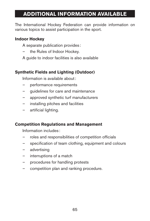# **Additional Information Available**

The International Hockey Federation can provide information on various topics to assist participation in the sport.

### **Indoor Hockey**

A separate publication provides :

- the Rules of Indoor Hockey.
- A guide to indoor facilities is also available

### **Synthetic Fields and Lighting (Outdoor)**

Information is available about:

- performance requirements
- guidelines for care and maintenance
- approved synthetic turf manufacturers
- installing pitches and facilities
- artificial lighting.

#### **Competition Regulations and Management**

Information includes :

- roles and responsibilities of competition officials
- specification of team clothing, equipment and colours
- advertising
- interruptions of a match
- procedures for handling protests
- competition plan and ranking procedure.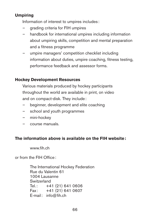### **Umpiring**

Information of interest to umpires includes :

- grading criteria for FIH umpires
- handbook for international umpires including information about umpiring skills, competition and mental preparation and a fitness programme
- umpire managers' competition checklist including information about duties, umpire coaching, fitness testing, performance feedback and assessor forms.

### **Hockey Development Resources**

Various materials produced by hockey participants throughout the world are available in print, on video and on compact-disk. They include:

- beginner, development and elite coaching
- school and youth programmes
- mini-hockey
- course manuals.

#### **The information above is available on the FIH website:**

www.fih.ch

or from the FIH Office:

The International Hockey Federation Rue du Valentin 61 1004 Lausanne **Switzerland** Tel.: +41 (21) 641 0606 Fax: +41 (21) 641 0607 E-mail: info@fih.ch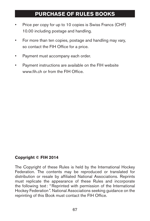# **Purchase of Rules Books**

- Price per copy for up to 10 copies is Swiss Francs (CHF) 10.00 including postage and handling.
- For more than ten copies, postage and handling may vary, so contact the FIH Office for a price.
- Payment must accompany each order.
- Payment instructions are available on the FIH website www.fih.ch or from the FIH Office

## **Copyright © FIH 2014**

The Copyright of these Rules is held by the International Hockey Federation. The contents may be reproduced or translated for distribution or resale by affiliated National Associations. Reprints must replicate the appearance of these Rules and incorporate the following text: "Reprinted with permission of the International Hockey Federation". National Associations seeking guidance on the reprinting of this Book must contact the FIH Office.